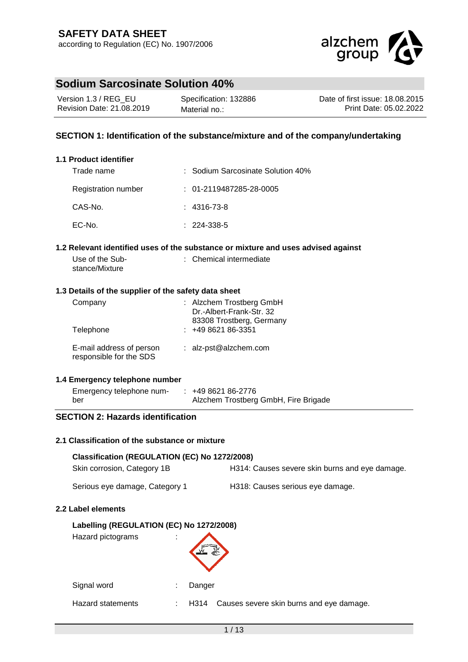

| Version 1.3 / REG EU      | Specification: 132886 | Date of first issue: 18.08.2015 |
|---------------------------|-----------------------|---------------------------------|
| Revision Date: 21.08.2019 | Material no.:         | Print Date: 05.02.2022          |

## **SECTION 1: Identification of the substance/mixture and of the company/undertaking**

#### **1.1 Product identifier**

| Trade name          | : Sodium Sarcosinate Solution 40% |
|---------------------|-----------------------------------|
| Registration number | $: 01 - 2119487285 - 28 - 0005$   |
| CAS-No.             | $: 4316 - 73 - 8$                 |
| EC-No.              | $: 224 - 338 - 5$                 |

#### **1.2 Relevant identified uses of the substance or mixture and uses advised against**

| Use of the Sub- | : Chemical intermediate |
|-----------------|-------------------------|
| stance/Mixture  |                         |

#### **1.3 Details of the supplier of the safety data sheet**

| Company<br>Telephone                                | : Alzchem Trostberg GmbH<br>Dr.-Albert-Frank-Str. 32<br>83308 Trostberg, Germany<br>$: 49862186-3351$ |
|-----------------------------------------------------|-------------------------------------------------------------------------------------------------------|
| E-mail address of person<br>responsible for the SDS | : $alz-pst@alzchem.com$                                                                               |

#### **1.4 Emergency telephone number**

**2.2 Label elements**

| Emergency telephone num- | $: 49862186-2776$                    |
|--------------------------|--------------------------------------|
| ber                      | Alzchem Trostberg GmbH, Fire Brigade |

## **SECTION 2: Hazards identification**

#### **2.1 Classification of the substance or mixture**

Signal word in the Signal word in the Danger

| Classification (REGULATION (EC) No 1272/2008)<br>Skin corrosion, Category 1B           | H314: Causes severe skin burns and eye damage. |
|----------------------------------------------------------------------------------------|------------------------------------------------|
|                                                                                        |                                                |
| Serious eye damage, Category 1                                                         | H318: Causes serious eye damage.               |
| <b>Label elements</b><br>Labelling (REGULATION (EC) No 1272/2008)<br>Hazard pictograms |                                                |
|                                                                                        |                                                |

Hazard statements : H314 Causes severe skin burns and eye damage.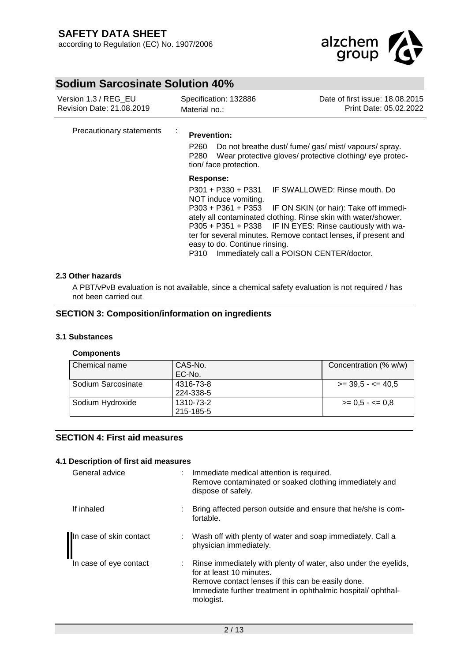

| Version 1.3 / REG EU<br>Revision Date: 21.08.2019 | Specification: 132886<br>Material no.:                                                                                                                                                                                                                                                                                                                                                                                                  | Date of first issue: 18,08,2015<br>Print Date: 05.02.2022                                                         |
|---------------------------------------------------|-----------------------------------------------------------------------------------------------------------------------------------------------------------------------------------------------------------------------------------------------------------------------------------------------------------------------------------------------------------------------------------------------------------------------------------------|-------------------------------------------------------------------------------------------------------------------|
| Precautionary statements                          | ÷<br><b>Prevention:</b><br>P260<br>P280<br>tion/ face protection.                                                                                                                                                                                                                                                                                                                                                                       | Do not breathe dust/ fume/ gas/ mist/ vapours/ spray.<br>Wear protective gloves/ protective clothing/ eye protec- |
|                                                   | Response:<br>P301 + P330 + P331 IF SWALLOWED: Rinse mouth. Do<br>NOT induce vomiting.<br>P303 + P361 + P353 IF ON SKIN (or hair): Take off immedi-<br>ately all contaminated clothing. Rinse skin with water/shower.<br>P305 + P351 + P338 IF IN EYES: Rinse cautiously with wa-<br>ter for several minutes. Remove contact lenses, if present and<br>easy to do. Continue rinsing.<br>Immediately call a POISON CENTER/doctor.<br>P310 |                                                                                                                   |

#### **2.3 Other hazards**

A PBT/vPvB evaluation is not available, since a chemical safety evaluation is not required / has not been carried out

#### **SECTION 3: Composition/information on ingredients**

#### **3.1 Substances**

#### **Components**

| l Chemical name    | CAS-No.<br>EC-No.      | Concentration (% w/w)     |
|--------------------|------------------------|---------------------------|
| Sodium Sarcosinate | 4316-73-8<br>224-338-5 | $\ge$ 39.5 - $\le$ 40.5   |
| Sodium Hydroxide   | 1310-73-2<br>215-185-5 | $\ge$ = 0.5 - $\lt$ = 0.8 |

## **SECTION 4: First aid measures**

#### **4.1 Description of first aid measures**

| General advice          | Immediate medical attention is required.<br>Remove contaminated or soaked clothing immediately and<br>dispose of safely.                                                                                                       |
|-------------------------|--------------------------------------------------------------------------------------------------------------------------------------------------------------------------------------------------------------------------------|
| If inhaled              | : Bring affected person outside and ensure that he/she is com-<br>fortable.                                                                                                                                                    |
| In case of skin contact | Wash off with plenty of water and soap immediately. Call a<br>physician immediately.                                                                                                                                           |
| In case of eye contact  | : Rinse immediately with plenty of water, also under the eyelids,<br>for at least 10 minutes.<br>Remove contact lenses if this can be easily done.<br>Immediate further treatment in ophthalmic hospital/ophthal-<br>mologist. |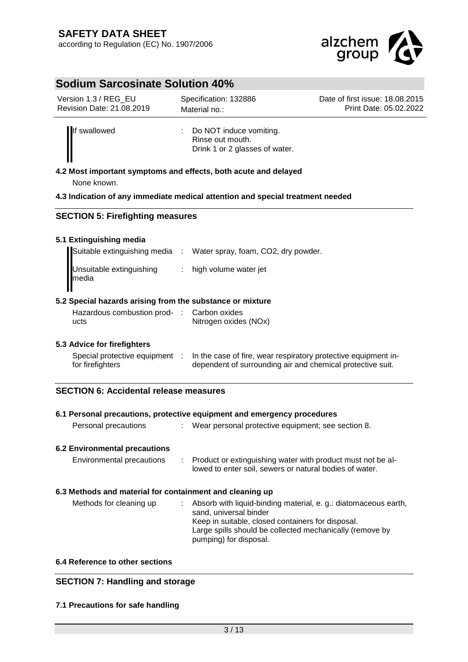

| Version 1.3 / REG EU      | Specification: 132886                                                           | Date of first issue: 18,08,2015 |
|---------------------------|---------------------------------------------------------------------------------|---------------------------------|
| Revision Date: 21.08.2019 | Material no.:                                                                   | Print Date: 05.02.2022          |
| If swallowed              | : Do NOT induce vomiting.<br>Rinse out mouth.<br>Drink 1 or 2 glasses of water. |                                 |

**4.2 Most important symptoms and effects, both acute and delayed** None known.

#### **4.3 Indication of any immediate medical attention and special treatment needed**

#### **SECTION 5: Firefighting measures**

#### **5.1 Extinguishing media**

|                                   | Suitable extinguishing media : Water spray, foam, CO2, dry powder. |
|-----------------------------------|--------------------------------------------------------------------|
| Unsuitable extinguishing<br>media | : high volume water jet                                            |

### **5.2 Special hazards arising from the substance or mixture**

| Hazardous combustion prod- : Carbon oxides |                       |
|--------------------------------------------|-----------------------|
| ucts                                       | Nitrogen oxides (NOx) |

#### **5.3 Advice for firefighters**

| Special protective equipment | In the case of fire, wear respiratory protective equipment in- |
|------------------------------|----------------------------------------------------------------|
| for firefighters             | dependent of surrounding air and chemical protective suit.     |

#### **SECTION 6: Accidental release measures**

| Personal precautions                                     | 6.1 Personal precautions, protective equipment and emergency procedures<br>: Wear personal protective equipment; see section 8.                                                                                                      |
|----------------------------------------------------------|--------------------------------------------------------------------------------------------------------------------------------------------------------------------------------------------------------------------------------------|
| <b>6.2 Environmental precautions</b>                     |                                                                                                                                                                                                                                      |
| Environmental precautions                                | : Product or extinguishing water with product must not be al-<br>lowed to enter soil, sewers or natural bodies of water.                                                                                                             |
| 6.3 Methods and material for containment and cleaning up |                                                                                                                                                                                                                                      |
| Methods for cleaning up                                  | Absorb with liquid-binding material, e. g.: diatomaceous earth,<br>sand, universal binder<br>Keep in suitable, closed containers for disposal.<br>Large spills should be collected mechanically (remove by<br>pumping) for disposal. |

#### **6.4 Reference to other sections**

## **SECTION 7: Handling and storage**

#### **7.1 Precautions for safe handling**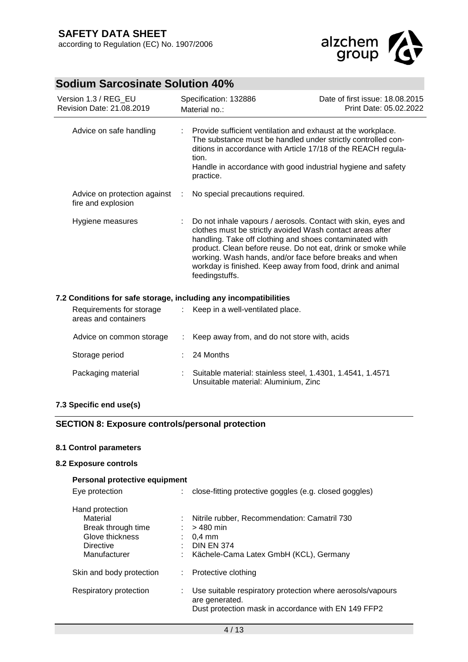

| Version 1.3 / REG_EU<br>Revision Date: 21.08.2019                |   | Specification: 132886<br>Material no.:                                                                                                                                                                                                                                                                                                                                                            | Date of first issue: 18.08.2015<br>Print Date: 05.02.2022 |  |
|------------------------------------------------------------------|---|---------------------------------------------------------------------------------------------------------------------------------------------------------------------------------------------------------------------------------------------------------------------------------------------------------------------------------------------------------------------------------------------------|-----------------------------------------------------------|--|
| Advice on safe handling                                          |   | Provide sufficient ventilation and exhaust at the workplace.<br>The substance must be handled under strictly controlled con-<br>ditions in accordance with Article 17/18 of the REACH regula-<br>tion.<br>Handle in accordance with good industrial hygiene and safety<br>practice.                                                                                                               |                                                           |  |
| Advice on protection against<br>fire and explosion               | ÷ | No special precautions required.                                                                                                                                                                                                                                                                                                                                                                  |                                                           |  |
| Hygiene measures                                                 |   | Do not inhale vapours / aerosols. Contact with skin, eyes and<br>clothes must be strictly avoided Wash contact areas after<br>handling. Take off clothing and shoes contaminated with<br>product. Clean before reuse. Do not eat, drink or smoke while<br>working. Wash hands, and/or face before breaks and when<br>workday is finished. Keep away from food, drink and animal<br>feedingstuffs. |                                                           |  |
| 7.2 Conditions for safe storage, including any incompatibilities |   |                                                                                                                                                                                                                                                                                                                                                                                                   |                                                           |  |
| Requirements for storage<br>areas and containers                 | ÷ | Keep in a well-ventilated place.                                                                                                                                                                                                                                                                                                                                                                  |                                                           |  |
| Advice on common storage                                         |   | Keep away from, and do not store with, acids                                                                                                                                                                                                                                                                                                                                                      |                                                           |  |
| Storage period                                                   |   | 24 Months                                                                                                                                                                                                                                                                                                                                                                                         |                                                           |  |
| Packaging material                                               |   | Suitable material: stainless steel, 1.4301, 1.4541, 1.4571<br>Unsuitable material: Aluminium, Zinc.                                                                                                                                                                                                                                                                                               |                                                           |  |

## **7.3 Specific end use(s)**

## **SECTION 8: Exposure controls/personal protection**

## **8.1 Control parameters**

#### **8.2 Exposure controls**

## **Personal protective equipment**

| Eye protection                                                                                    | close-fitting protective goggles (e.g. closed goggles)                                                                                                |
|---------------------------------------------------------------------------------------------------|-------------------------------------------------------------------------------------------------------------------------------------------------------|
| Hand protection<br>Material<br>Break through time<br>Glove thickness<br>Directive<br>Manufacturer | : Nitrile rubber, Recommendation: Camatril 730<br>$>480$ min<br>$0.4 \text{ mm}$<br>$\therefore$ DIN EN 374<br>Kächele-Cama Latex GmbH (KCL), Germany |
| Skin and body protection                                                                          | : Protective clothing                                                                                                                                 |
| Respiratory protection                                                                            | Use suitable respiratory protection where aerosols/vapours<br>are generated.<br>Dust protection mask in accordance with EN 149 FFP2                   |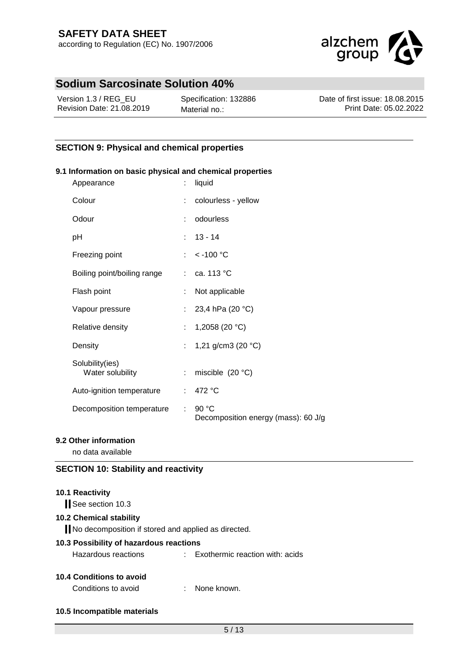

| Version 1.3 / REG EU      | Specification: 132886 | Date of first issue: 18.08.2015 |
|---------------------------|-----------------------|---------------------------------|
| Revision Date: 21.08.2019 | Material no.:         | Print Date: 05.02.2022          |

## **SECTION 9: Physical and chemical properties**

#### **9.1 Information on basic physical and chemical properties**

| Appearance                          |            | liquid                                         |
|-------------------------------------|------------|------------------------------------------------|
| Colour                              |            | colourless - yellow                            |
| Odour                               |            | odourless                                      |
| рH                                  |            | $: 13 - 14$                                    |
| Freezing point                      |            | : $< -100 °C$                                  |
| Boiling point/boiling range         |            | $\therefore$ ca. 113 °C                        |
| Flash point                         |            | Not applicable                                 |
| Vapour pressure                     |            | : 23,4 hPa (20 °C)                             |
| Relative density                    | t.         | 1,2058 (20 $°C$ )                              |
| Density                             |            | : 1,21 g/cm3 (20 °C)                           |
| Solubility(ies)<br>Water solubility | t.         | miscible $(20 °C)$                             |
| Auto-ignition temperature           |            | : $472 °C$                                     |
| Decomposition temperature           | $\epsilon$ | 90 $°C$<br>Decomposition energy (mass): 60 J/g |

### **9.2 Other information**

no data available

## **SECTION 10: Stability and reactivity**

## **10.1 Reactivity**

See section 10.3

#### **10.2 Chemical stability**

No decomposition if stored and applied as directed.

#### **10.3 Possibility of hazardous reactions**

## **10.4 Conditions to avoid**

Conditions to avoid : None known.

**10.5 Incompatible materials**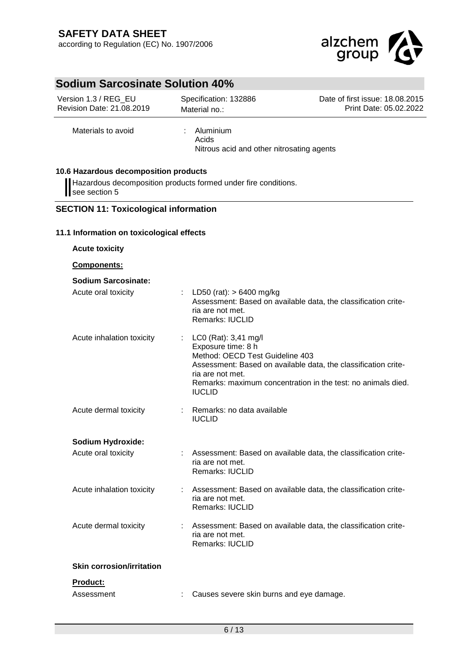

| Version 1.3 / REG_EU<br>Revision Date: 21.08.2019                                                                        | Specification: 132886<br>Material no.:                                                                             | Date of first issue: 18.08.2015<br>Print Date: 05.02.2022                                                                      |
|--------------------------------------------------------------------------------------------------------------------------|--------------------------------------------------------------------------------------------------------------------|--------------------------------------------------------------------------------------------------------------------------------|
| Materials to avoid                                                                                                       | Aluminium<br>Acids                                                                                                 | Nitrous acid and other nitrosating agents                                                                                      |
| 10.6 Hazardous decomposition products<br>Hazardous decomposition products formed under fire conditions.<br>see section 5 |                                                                                                                    |                                                                                                                                |
| <b>SECTION 11: Toxicological information</b>                                                                             |                                                                                                                    |                                                                                                                                |
| 11.1 Information on toxicological effects                                                                                |                                                                                                                    |                                                                                                                                |
| <b>Acute toxicity</b>                                                                                                    |                                                                                                                    |                                                                                                                                |
| Components:                                                                                                              |                                                                                                                    |                                                                                                                                |
| <b>Sodium Sarcosinate:</b>                                                                                               |                                                                                                                    |                                                                                                                                |
| Acute oral toxicity                                                                                                      | LD50 (rat): $> 6400$ mg/kg<br>ria are not met.<br>Remarks: IUCLID                                                  | Assessment: Based on available data, the classification crite-                                                                 |
| Acute inhalation toxicity                                                                                                | LC0 (Rat): 3,41 mg/l<br>Exposure time: 8 h<br>Method: OECD Test Guideline 403<br>ria are not met.<br><b>IUCLID</b> | Assessment: Based on available data, the classification crite-<br>Remarks: maximum concentration in the test: no animals died. |
| Acute dermal toxicity                                                                                                    | Remarks: no data available<br><b>IUCLID</b>                                                                        |                                                                                                                                |
| <b>Sodium Hydroxide:</b>                                                                                                 |                                                                                                                    |                                                                                                                                |
| Acute oral toxicity                                                                                                      | ria are not met.<br>Remarks: IUCLID                                                                                | Assessment: Based on available data, the classification crite-                                                                 |
| Acute inhalation toxicity                                                                                                | ria are not met.<br>Remarks: IUCLID                                                                                | Assessment: Based on available data, the classification crite-                                                                 |
| Acute dermal toxicity                                                                                                    | ria are not met.<br><b>Remarks: IUCLID</b>                                                                         | Assessment: Based on available data, the classification crite-                                                                 |
| <b>Skin corrosion/irritation</b>                                                                                         |                                                                                                                    |                                                                                                                                |
| Product:                                                                                                                 |                                                                                                                    |                                                                                                                                |
| Assessment                                                                                                               |                                                                                                                    | Causes severe skin burns and eye damage.                                                                                       |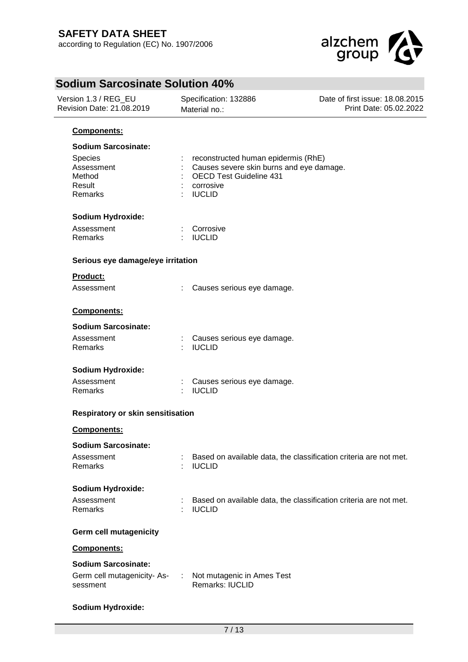

| Version 1.3 / REG_EU<br>Revision Date: 21.08.2019                                  |                                   | Specification: 132886<br>Material no.:                                                                                                   | Date of first issue: 18.08.2015<br>Print Date: 05.02.2022 |  |  |  |
|------------------------------------------------------------------------------------|-----------------------------------|------------------------------------------------------------------------------------------------------------------------------------------|-----------------------------------------------------------|--|--|--|
| Components:                                                                        |                                   |                                                                                                                                          |                                                           |  |  |  |
| <b>Sodium Sarcosinate:</b><br>Species<br>Assessment<br>Method<br>Result<br>Remarks |                                   | reconstructed human epidermis (RhE)<br>Causes severe skin burns and eye damage.<br>OECD Test Guideline 431<br>corrosive<br><b>IUCLID</b> |                                                           |  |  |  |
| <b>Sodium Hydroxide:</b>                                                           |                                   |                                                                                                                                          |                                                           |  |  |  |
| Assessment<br>Remarks                                                              | ×                                 | Corrosive<br><b>IUCLID</b>                                                                                                               |                                                           |  |  |  |
| Serious eye damage/eye irritation                                                  |                                   |                                                                                                                                          |                                                           |  |  |  |
| Product:                                                                           |                                   |                                                                                                                                          |                                                           |  |  |  |
| Assessment                                                                         |                                   | Causes serious eye damage.                                                                                                               |                                                           |  |  |  |
| Components:                                                                        |                                   |                                                                                                                                          |                                                           |  |  |  |
| <b>Sodium Sarcosinate:</b>                                                         |                                   |                                                                                                                                          |                                                           |  |  |  |
| Assessment<br>Remarks                                                              |                                   | Causes serious eye damage.<br><b>IUCLID</b>                                                                                              |                                                           |  |  |  |
| <b>Sodium Hydroxide:</b>                                                           |                                   |                                                                                                                                          |                                                           |  |  |  |
| Assessment<br>Remarks                                                              |                                   | Causes serious eye damage.<br><b>IUCLID</b>                                                                                              |                                                           |  |  |  |
|                                                                                    | Respiratory or skin sensitisation |                                                                                                                                          |                                                           |  |  |  |
| Components:                                                                        |                                   |                                                                                                                                          |                                                           |  |  |  |
| <b>Sodium Sarcosinate:</b>                                                         |                                   |                                                                                                                                          |                                                           |  |  |  |
| Assessment<br>Remarks                                                              |                                   | Based on available data, the classification criteria are not met.<br><b>IUCLID</b>                                                       |                                                           |  |  |  |
| <b>Sodium Hydroxide:</b>                                                           |                                   |                                                                                                                                          |                                                           |  |  |  |
| Assessment<br>Remarks                                                              |                                   | Based on available data, the classification criteria are not met.<br><b>IUCLID</b>                                                       |                                                           |  |  |  |
| Germ cell mutagenicity                                                             |                                   |                                                                                                                                          |                                                           |  |  |  |
| Components:                                                                        |                                   |                                                                                                                                          |                                                           |  |  |  |
| <b>Sodium Sarcosinate:</b>                                                         |                                   |                                                                                                                                          |                                                           |  |  |  |
| Germ cell mutagenicity-As-<br>sessment                                             | ÷.                                | Not mutagenic in Ames Test<br>Remarks: IUCLID                                                                                            |                                                           |  |  |  |

## **Sodium Hydroxide:**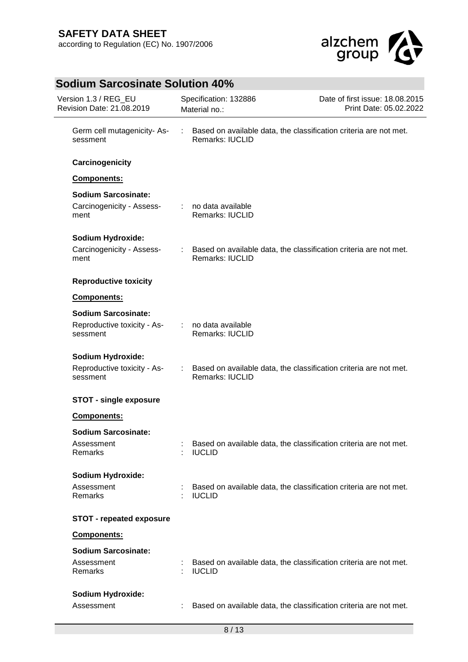

| Version 1.3 / REG_EU<br>Revision Date: 21.08.2019                     |        | Specification: 132886<br>Material no.:        | Date of first issue: 18.08.2015<br>Print Date: 05.02.2022           |  |
|-----------------------------------------------------------------------|--------|-----------------------------------------------|---------------------------------------------------------------------|--|
| Germ cell mutagenicity-As-<br>sessment                                | $\sim$ | <b>Remarks: IUCLID</b>                        | Based on available data, the classification criteria are not met.   |  |
| Carcinogenicity                                                       |        |                                               |                                                                     |  |
| Components:                                                           |        |                                               |                                                                     |  |
| <b>Sodium Sarcosinate:</b><br>Carcinogenicity - Assess-<br>ment       |        | : no data available<br><b>Remarks: IUCLID</b> |                                                                     |  |
| <b>Sodium Hydroxide:</b><br>Carcinogenicity - Assess-<br>ment         |        | Remarks: IUCLID                               | : Based on available data, the classification criteria are not met. |  |
| <b>Reproductive toxicity</b>                                          |        |                                               |                                                                     |  |
| Components:                                                           |        |                                               |                                                                     |  |
| <b>Sodium Sarcosinate:</b><br>Reproductive toxicity - As-<br>sessment |        | : no data available<br>Remarks: IUCLID        |                                                                     |  |
| Sodium Hydroxide:<br>Reproductive toxicity - As-<br>sessment          |        | Remarks: IUCLID                               | Based on available data, the classification criteria are not met.   |  |
| <b>STOT - single exposure</b>                                         |        |                                               |                                                                     |  |
| Components:                                                           |        |                                               |                                                                     |  |
| <b>Sodium Sarcosinate:</b><br>Assessment<br>Remarks                   |        | <b>IUCLID</b>                                 | Based on available data, the classification criteria are not met.   |  |
| <b>Sodium Hydroxide:</b><br>Assessment<br>Remarks                     |        | <b>IUCLID</b>                                 | Based on available data, the classification criteria are not met.   |  |
| <b>STOT - repeated exposure</b>                                       |        |                                               |                                                                     |  |
| Components:                                                           |        |                                               |                                                                     |  |
| <b>Sodium Sarcosinate:</b>                                            |        |                                               |                                                                     |  |
| Assessment<br>Remarks                                                 |        | <b>IUCLID</b>                                 | Based on available data, the classification criteria are not met.   |  |
| <b>Sodium Hydroxide:</b>                                              |        |                                               |                                                                     |  |
| Assessment                                                            |        |                                               | Based on available data, the classification criteria are not met.   |  |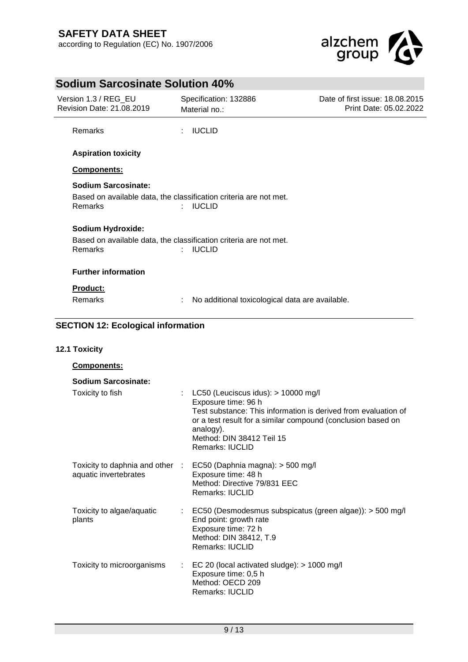

#### **Sodium Sarcosinate Solution 40%** Version 1.3 / REG\_EU Revision Date: 21.08.2019 Specification: 132886 Material no.:

Date of first issue: 18.08.2015 Print Date: 05.02.2022

Remarks : IUCLID

## **Aspiration toxicity**

## **Components:**

# **Sodium Sarcosinate:**

Based on available data, the classification criteria are not met. Remarks : IUCLID

## **Sodium Hydroxide:**

Based on available data, the classification criteria are not met. Remarks : IUCLID

## **Further information**

## **Product:**

Remarks : No additional toxicological data are available.

## **SECTION 12: Ecological information**

## **12.1 Toxicity**

| <b>Components:</b>                                       |    |                                                                                                                                                                                                                                                             |
|----------------------------------------------------------|----|-------------------------------------------------------------------------------------------------------------------------------------------------------------------------------------------------------------------------------------------------------------|
| Sodium Sarcosinate:                                      |    |                                                                                                                                                                                                                                                             |
| Toxicity to fish                                         | t. | LC50 (Leuciscus idus): $> 10000$ mg/l<br>Exposure time: 96 h<br>Test substance: This information is derived from evaluation of<br>or a test result for a similar compound (conclusion based on<br>analogy).<br>Method: DIN 38412 Teil 15<br>Remarks: IUCLID |
| Toxicity to daphnia and other :<br>aquatic invertebrates |    | EC50 (Daphnia magna): $>$ 500 mg/l<br>Exposure time: 48 h<br>Method: Directive 79/831 EEC<br><b>Remarks: IUCLID</b>                                                                                                                                         |
| Toxicity to algae/aquatic<br>plants                      | t. | EC50 (Desmodesmus subspicatus (green algae)): > 500 mg/l<br>End point: growth rate<br>Exposure time: 72 h<br>Method: DIN 38412, T.9<br>Remarks: IUCLID                                                                                                      |
| Toxicity to microorganisms                               | t. | EC 20 (local activated sludge): $> 1000$ mg/l<br>Exposure time: 0,5 h<br>Method: OECD 209<br><b>Remarks: IUCLID</b>                                                                                                                                         |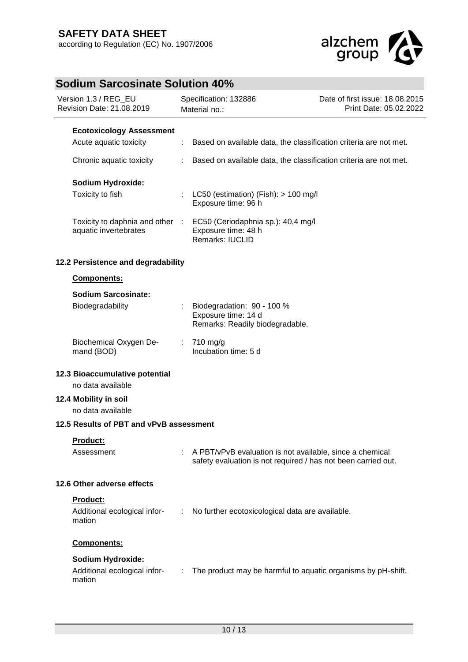

| <u>aiuin varvooniate oolation +0 /0</u><br>Version 1.3 / REG_EU<br>Revision Date: 21.08.2019 |                                                                    | Specification: 132886<br>Material no.: |                                                                                                                           | Date of first issue: 18.08.2015<br>Print Date: 05.02.2022 |
|----------------------------------------------------------------------------------------------|--------------------------------------------------------------------|----------------------------------------|---------------------------------------------------------------------------------------------------------------------------|-----------------------------------------------------------|
|                                                                                              | <b>Ecotoxicology Assessment</b>                                    |                                        |                                                                                                                           |                                                           |
|                                                                                              | Acute aquatic toxicity                                             |                                        | Based on available data, the classification criteria are not met.                                                         |                                                           |
|                                                                                              | Chronic aquatic toxicity                                           |                                        | Based on available data, the classification criteria are not met.                                                         |                                                           |
|                                                                                              | Sodium Hydroxide:                                                  |                                        |                                                                                                                           |                                                           |
|                                                                                              | Toxicity to fish                                                   |                                        | LC50 (estimation) (Fish): $> 100$ mg/l<br>Exposure time: 96 h                                                             |                                                           |
|                                                                                              | Toxicity to daphnia and other<br>aquatic invertebrates             | $\sim 100$                             | EC50 (Ceriodaphnia sp.): 40,4 mg/l<br>Exposure time: 48 h<br>Remarks: IUCLID                                              |                                                           |
|                                                                                              | 12.2 Persistence and degradability                                 |                                        |                                                                                                                           |                                                           |
|                                                                                              | Components:                                                        |                                        |                                                                                                                           |                                                           |
|                                                                                              | <b>Sodium Sarcosinate:</b>                                         |                                        |                                                                                                                           |                                                           |
|                                                                                              | Biodegradability                                                   |                                        | Biodegradation: 90 - 100 %<br>Exposure time: 14 d<br>Remarks: Readily biodegradable.                                      |                                                           |
|                                                                                              | Biochemical Oxygen De-<br>mand (BOD)                               | ÷.                                     | $710 \text{ mg/g}$<br>Incubation time: 5 d                                                                                |                                                           |
| 12.3 Bioaccumulative potential<br>no data available                                          |                                                                    |                                        |                                                                                                                           |                                                           |
|                                                                                              | 12.4 Mobility in soil<br>no data available                         |                                        |                                                                                                                           |                                                           |
|                                                                                              | 12.5 Results of PBT and vPvB assessment                            |                                        |                                                                                                                           |                                                           |
|                                                                                              | Product:                                                           |                                        |                                                                                                                           |                                                           |
|                                                                                              | Assessment                                                         |                                        | A PBT/vPvB evaluation is not available, since a chemical<br>safety evaluation is not required / has not been carried out. |                                                           |
|                                                                                              | 12.6 Other adverse effects                                         |                                        |                                                                                                                           |                                                           |
|                                                                                              | Product:<br>Additional ecological infor-<br>mation                 | ÷                                      | No further ecotoxicological data are available.                                                                           |                                                           |
|                                                                                              | <b>Components:</b>                                                 |                                        |                                                                                                                           |                                                           |
|                                                                                              | <b>Sodium Hydroxide:</b><br>Additional ecological infor-<br>mation |                                        | The product may be harmful to aquatic organisms by pH-shift.                                                              |                                                           |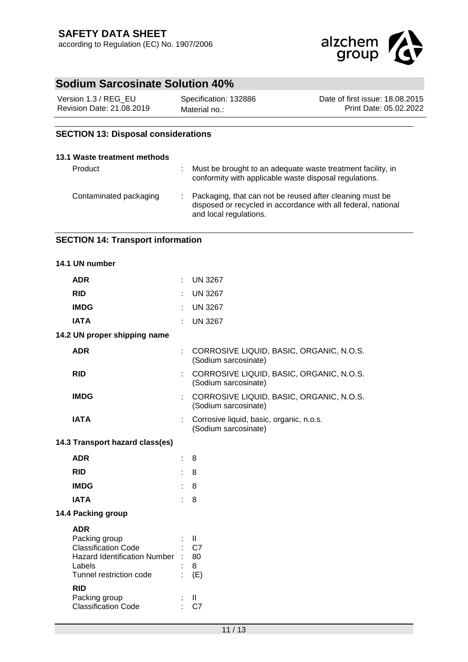

| Version 1.3 / REG EU      | Specification: 132886 | Date of first issue: 18,08,2015 |
|---------------------------|-----------------------|---------------------------------|
| Revision Date: 21.08.2019 | Material no.:         | Print Date: 05.02.2022          |

## **SECTION 13: Disposal considerations**

#### **13.1 Waste treatment methods**

| Product                | ÷. | Must be brought to an adequate waste treatment facility, in<br>conformity with applicable waste disposal regulations.                                 |
|------------------------|----|-------------------------------------------------------------------------------------------------------------------------------------------------------|
| Contaminated packaging |    | : Packaging, that can not be reused after cleaning must be<br>disposed or recycled in accordance with all federal, national<br>and local regulations. |

## **SECTION 14: Transport information**

|                                 | 14.1 UN number                                                                                                                                                  |    |                                                                  |  |  |
|---------------------------------|-----------------------------------------------------------------------------------------------------------------------------------------------------------------|----|------------------------------------------------------------------|--|--|
|                                 | <b>ADR</b>                                                                                                                                                      |    | <b>UN 3267</b>                                                   |  |  |
|                                 | <b>RID</b>                                                                                                                                                      |    | <b>UN 3267</b>                                                   |  |  |
|                                 | <b>IMDG</b>                                                                                                                                                     |    | <b>UN 3267</b>                                                   |  |  |
|                                 | <b>IATA</b>                                                                                                                                                     |    | <b>UN 3267</b>                                                   |  |  |
| 14.2 UN proper shipping name    |                                                                                                                                                                 |    |                                                                  |  |  |
|                                 | <b>ADR</b>                                                                                                                                                      |    | CORROSIVE LIQUID, BASIC, ORGANIC, N.O.S.<br>(Sodium sarcosinate) |  |  |
|                                 | <b>RID</b>                                                                                                                                                      |    | CORROSIVE LIQUID, BASIC, ORGANIC, N.O.S.<br>(Sodium sarcosinate) |  |  |
|                                 | <b>IMDG</b>                                                                                                                                                     |    | CORROSIVE LIQUID, BASIC, ORGANIC, N.O.S.<br>(Sodium sarcosinate) |  |  |
|                                 | <b>IATA</b>                                                                                                                                                     |    | Corrosive liquid, basic, organic, n.o.s.<br>(Sodium sarcosinate) |  |  |
| 14.3 Transport hazard class(es) |                                                                                                                                                                 |    |                                                                  |  |  |
|                                 | <b>ADR</b>                                                                                                                                                      |    | 8                                                                |  |  |
|                                 | <b>RID</b>                                                                                                                                                      | ÷. | 8                                                                |  |  |
|                                 | <b>IMDG</b>                                                                                                                                                     | ÷. | 8                                                                |  |  |
|                                 | <b>IATA</b>                                                                                                                                                     | ŧ. | 8                                                                |  |  |
| 14.4 Packing group              |                                                                                                                                                                 |    |                                                                  |  |  |
|                                 | <b>ADR</b><br>Packing group<br><b>Classification Code</b><br>Hazard Identification Number :<br>Labels<br>Tunnel restriction code<br><b>RID</b><br>Packing group |    | $\mathbf{I}$<br>C7<br>80<br>8<br>(E)<br>$\mathbf{I}$             |  |  |
|                                 | <b>Classification Code</b>                                                                                                                                      | ÷  | C7                                                               |  |  |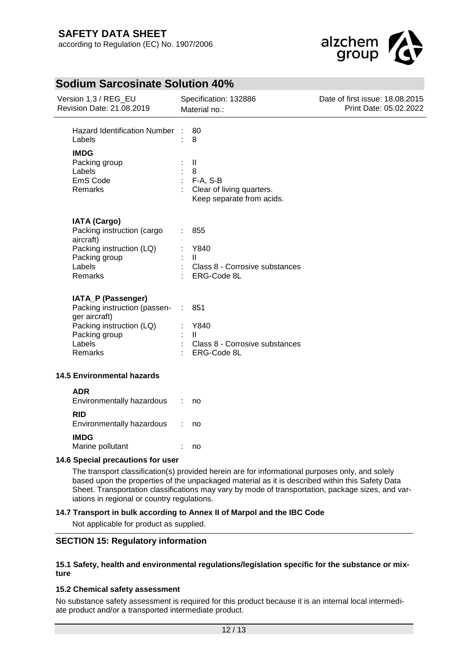

| Version 1.3 / REG_EU<br>Revision Date: 21.08.2019                                                                                       | Specification: 132886<br>Material no.:                                                   | Date of first issue: 18.08.2015<br>Print Date: 05.02.2022 |
|-----------------------------------------------------------------------------------------------------------------------------------------|------------------------------------------------------------------------------------------|-----------------------------------------------------------|
| <b>Hazard Identification Number</b><br>Labels                                                                                           | 80<br>8                                                                                  |                                                           |
| <b>IMDG</b><br>Packing group<br>Labels<br>EmS Code<br>Remarks                                                                           | $\mathbf{II}$<br>8<br>F-A, S-B<br>Clear of living quarters.<br>Keep separate from acids. |                                                           |
| <b>IATA (Cargo)</b><br>Packing instruction (cargo<br>aircraft)<br>Packing instruction (LQ)<br>Packing group<br>Labels<br><b>Remarks</b> | 855<br>Y840<br>$\mathbf{H}$<br>Class 8 - Corrosive substances<br>ERG-Code 8L             |                                                           |
| IATA_P (Passenger)<br>Packing instruction (passen-<br>ger aircraft)<br>Packing instruction (LQ)<br>Packing group<br>Labels<br>Remarks   | 851<br>÷<br>Y840<br>$\mathbf{H}$<br>Class 8 - Corrosive substances<br>ERG-Code 8L        |                                                           |
| <b>14.5 Environmental hazards</b>                                                                                                       |                                                                                          |                                                           |
| <b>ADR</b><br>Environmentally hazardous                                                                                                 | no                                                                                       |                                                           |
| <b>RID</b><br>Environmentally hazardous                                                                                                 | no                                                                                       |                                                           |

#### **IMDG** Marine pollutant : no

## **14.6 Special precautions for user**

The transport classification(s) provided herein are for informational purposes only, and solely based upon the properties of the unpackaged material as it is described within this Safety Data Sheet. Transportation classifications may vary by mode of transportation, package sizes, and variations in regional or country regulations.

#### **14.7 Transport in bulk according to Annex II of Marpol and the IBC Code**

Not applicable for product as supplied.

#### **SECTION 15: Regulatory information**

#### **15.1 Safety, health and environmental regulations/legislation specific for the substance or mixture**

#### **15.2 Chemical safety assessment**

No substance safety assessment is required for this product because it is an internal local intermediate product and/or a transported intermediate product.